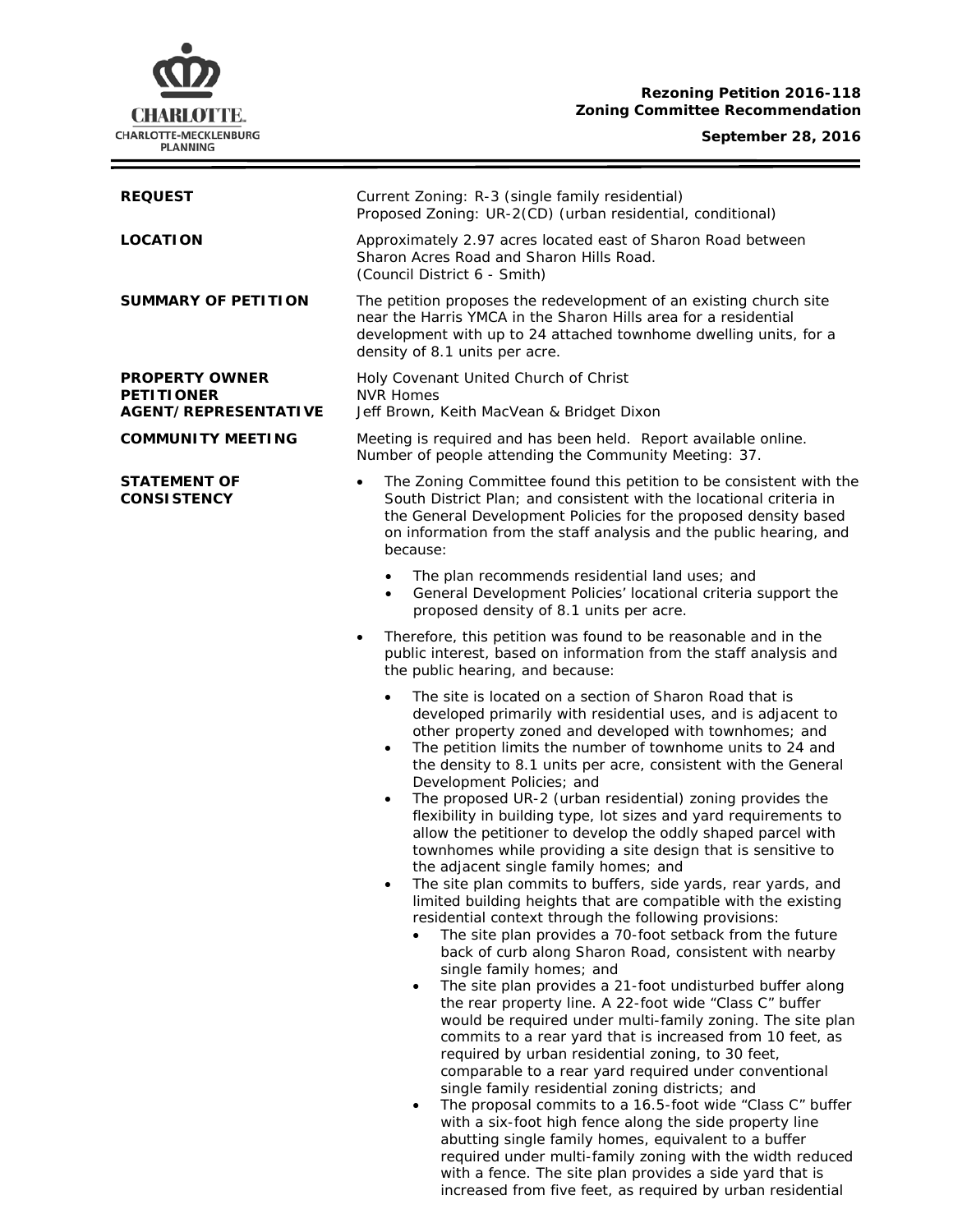# **CHARLOTTE.** CHARLOTTE-MECKLENBURG<br>PLANNING

## **Rezoning Petition 2016-118 Zoning Committee Recommendation**

## **September 28, 2016**

| <b>REQUEST</b>                                                     | Current Zoning: R-3 (single family residential)<br>Proposed Zoning: UR-2(CD) (urban residential, conditional)                                                                                                                                                                                                                                                                                                                                                                                                                                                                                                                                                                                                                                                                                                                                                                                                                                                                                                                                                                                                                                                                                                                                                                                                                                                                                                                                                                                                                                                                                                                                                                                                                                                                                                      |  |
|--------------------------------------------------------------------|--------------------------------------------------------------------------------------------------------------------------------------------------------------------------------------------------------------------------------------------------------------------------------------------------------------------------------------------------------------------------------------------------------------------------------------------------------------------------------------------------------------------------------------------------------------------------------------------------------------------------------------------------------------------------------------------------------------------------------------------------------------------------------------------------------------------------------------------------------------------------------------------------------------------------------------------------------------------------------------------------------------------------------------------------------------------------------------------------------------------------------------------------------------------------------------------------------------------------------------------------------------------------------------------------------------------------------------------------------------------------------------------------------------------------------------------------------------------------------------------------------------------------------------------------------------------------------------------------------------------------------------------------------------------------------------------------------------------------------------------------------------------------------------------------------------------|--|
| <b>LOCATION</b>                                                    | Approximately 2.97 acres located east of Sharon Road between<br>Sharon Acres Road and Sharon Hills Road.<br>(Council District 6 - Smith)                                                                                                                                                                                                                                                                                                                                                                                                                                                                                                                                                                                                                                                                                                                                                                                                                                                                                                                                                                                                                                                                                                                                                                                                                                                                                                                                                                                                                                                                                                                                                                                                                                                                           |  |
| <b>SUMMARY OF PETITION</b>                                         | The petition proposes the redevelopment of an existing church site<br>near the Harris YMCA in the Sharon Hills area for a residential<br>development with up to 24 attached townhome dwelling units, for a<br>density of 8.1 units per acre.                                                                                                                                                                                                                                                                                                                                                                                                                                                                                                                                                                                                                                                                                                                                                                                                                                                                                                                                                                                                                                                                                                                                                                                                                                                                                                                                                                                                                                                                                                                                                                       |  |
| <b>PROPERTY OWNER</b><br><b>PETITIONER</b><br>AGENT/REPRESENTATIVE | Holy Covenant United Church of Christ<br><b>NVR Homes</b><br>Jeff Brown, Keith MacVean & Bridget Dixon                                                                                                                                                                                                                                                                                                                                                                                                                                                                                                                                                                                                                                                                                                                                                                                                                                                                                                                                                                                                                                                                                                                                                                                                                                                                                                                                                                                                                                                                                                                                                                                                                                                                                                             |  |
| <b>COMMUNITY MEETING</b>                                           | Meeting is required and has been held. Report available online.<br>Number of people attending the Community Meeting: 37.                                                                                                                                                                                                                                                                                                                                                                                                                                                                                                                                                                                                                                                                                                                                                                                                                                                                                                                                                                                                                                                                                                                                                                                                                                                                                                                                                                                                                                                                                                                                                                                                                                                                                           |  |
| <b>STATEMENT OF</b><br><b>CONSISTENCY</b>                          | The Zoning Committee found this petition to be consistent with the<br>South District Plan; and consistent with the locational criteria in<br>the General Development Policies for the proposed density based<br>on information from the staff analysis and the public hearing, and<br>because:                                                                                                                                                                                                                                                                                                                                                                                                                                                                                                                                                                                                                                                                                                                                                                                                                                                                                                                                                                                                                                                                                                                                                                                                                                                                                                                                                                                                                                                                                                                     |  |
|                                                                    | The plan recommends residential land uses; and<br>$\bullet$<br>General Development Policies' locational criteria support the<br>$\bullet$<br>proposed density of 8.1 units per acre.                                                                                                                                                                                                                                                                                                                                                                                                                                                                                                                                                                                                                                                                                                                                                                                                                                                                                                                                                                                                                                                                                                                                                                                                                                                                                                                                                                                                                                                                                                                                                                                                                               |  |
|                                                                    | Therefore, this petition was found to be reasonable and in the<br>public interest, based on information from the staff analysis and<br>the public hearing, and because:                                                                                                                                                                                                                                                                                                                                                                                                                                                                                                                                                                                                                                                                                                                                                                                                                                                                                                                                                                                                                                                                                                                                                                                                                                                                                                                                                                                                                                                                                                                                                                                                                                            |  |
|                                                                    | The site is located on a section of Sharon Road that is<br>$\bullet$<br>developed primarily with residential uses, and is adjacent to<br>other property zoned and developed with townhomes; and<br>The petition limits the number of townhome units to 24 and<br>$\bullet$<br>the density to 8.1 units per acre, consistent with the General<br>Development Policies; and<br>The proposed UR-2 (urban residential) zoning provides the<br>$\bullet$<br>flexibility in building type, lot sizes and yard requirements to<br>allow the petitioner to develop the oddly shaped parcel with<br>townhomes while providing a site design that is sensitive to<br>the adjacent single family homes; and<br>The site plan commits to buffers, side yards, rear yards, and<br>$\bullet$<br>limited building heights that are compatible with the existing<br>residential context through the following provisions:<br>The site plan provides a 70-foot setback from the future<br>back of curb along Sharon Road, consistent with nearby<br>single family homes; and<br>The site plan provides a 21-foot undisturbed buffer along<br>$\bullet$<br>the rear property line. A 22-foot wide "Class C" buffer<br>would be required under multi-family zoning. The site plan<br>commits to a rear yard that is increased from 10 feet, as<br>required by urban residential zoning, to 30 feet,<br>comparable to a rear yard required under conventional<br>single family residential zoning districts; and<br>The proposal commits to a 16.5-foot wide "Class C" buffer<br>$\bullet$<br>with a six-foot high fence along the side property line<br>abutting single family homes, equivalent to a buffer<br>required under multi-family zoning with the width reduced<br>with a fence. The site plan provides a side yard that is |  |

increased from five feet, as required by urban residential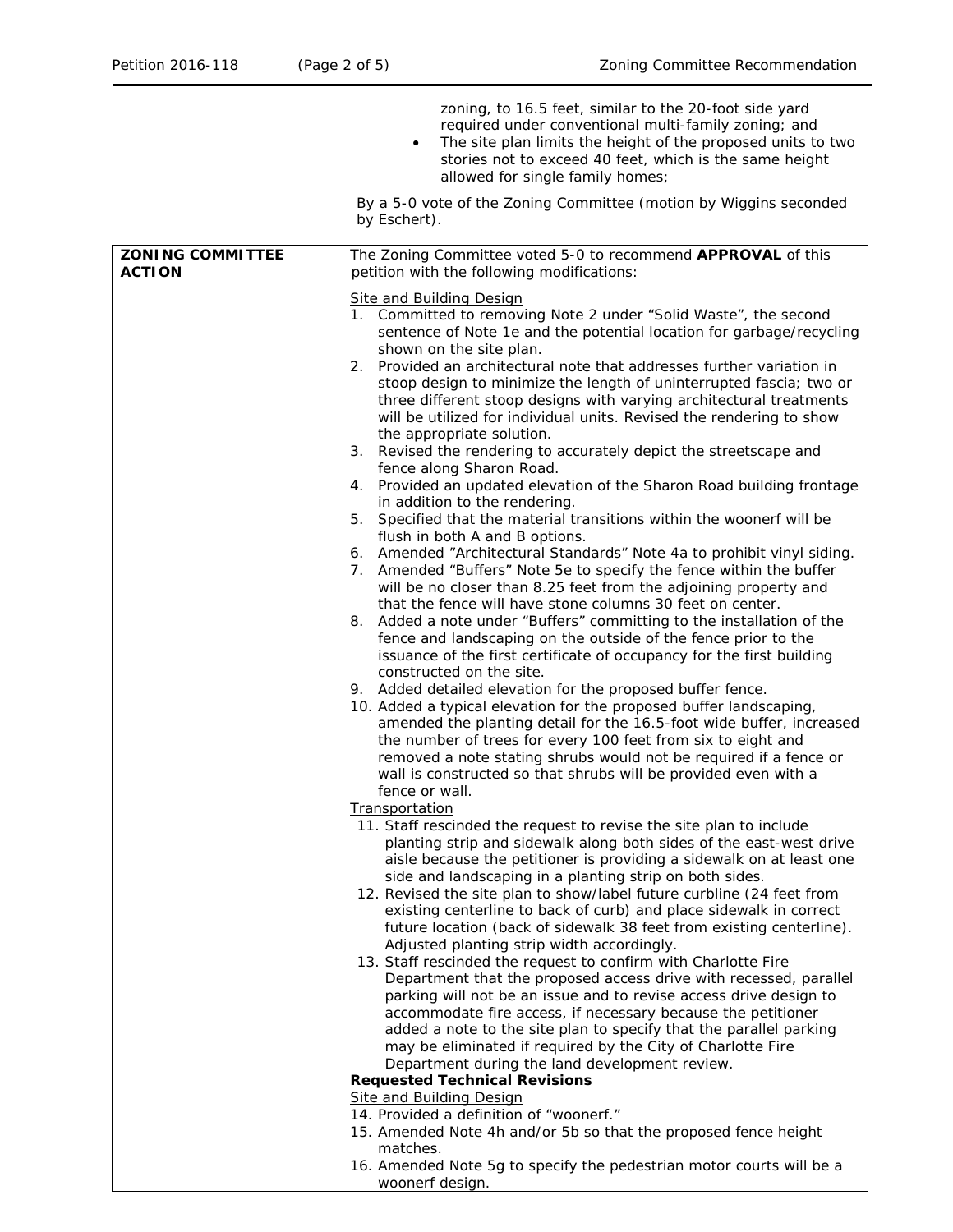|                                          | zoning, to 16.5 feet, similar to the 20-foot side yard<br>required under conventional multi-family zoning; and<br>The site plan limits the height of the proposed units to two<br>stories not to exceed 40 feet, which is the same height<br>allowed for single family homes;                                                                                                                                                                                                                                                                                                                                                                                                                                                                                                                                                                                                                                                                                                                                                                                                                                                                                                                                                                                                                                                                                                                                                                                                                                                                                                                                                                                                                                                                                                                                                                                                                                                                                                                                                                                                                                                                                                                                                                                                                                                                                                                                                                                                                                                                                                                                                                                                                                                                                                                                                                                                                                                                                                                      |
|------------------------------------------|----------------------------------------------------------------------------------------------------------------------------------------------------------------------------------------------------------------------------------------------------------------------------------------------------------------------------------------------------------------------------------------------------------------------------------------------------------------------------------------------------------------------------------------------------------------------------------------------------------------------------------------------------------------------------------------------------------------------------------------------------------------------------------------------------------------------------------------------------------------------------------------------------------------------------------------------------------------------------------------------------------------------------------------------------------------------------------------------------------------------------------------------------------------------------------------------------------------------------------------------------------------------------------------------------------------------------------------------------------------------------------------------------------------------------------------------------------------------------------------------------------------------------------------------------------------------------------------------------------------------------------------------------------------------------------------------------------------------------------------------------------------------------------------------------------------------------------------------------------------------------------------------------------------------------------------------------------------------------------------------------------------------------------------------------------------------------------------------------------------------------------------------------------------------------------------------------------------------------------------------------------------------------------------------------------------------------------------------------------------------------------------------------------------------------------------------------------------------------------------------------------------------------------------------------------------------------------------------------------------------------------------------------------------------------------------------------------------------------------------------------------------------------------------------------------------------------------------------------------------------------------------------------------------------------------------------------------------------------------------------------|
|                                          | By a 5-0 vote of the Zoning Committee (motion by Wiggins seconded<br>by Eschert).                                                                                                                                                                                                                                                                                                                                                                                                                                                                                                                                                                                                                                                                                                                                                                                                                                                                                                                                                                                                                                                                                                                                                                                                                                                                                                                                                                                                                                                                                                                                                                                                                                                                                                                                                                                                                                                                                                                                                                                                                                                                                                                                                                                                                                                                                                                                                                                                                                                                                                                                                                                                                                                                                                                                                                                                                                                                                                                  |
| <b>ZONING COMMITTEE</b><br><b>ACTION</b> | The Zoning Committee voted 5-0 to recommend APPROVAL of this<br>petition with the following modifications:                                                                                                                                                                                                                                                                                                                                                                                                                                                                                                                                                                                                                                                                                                                                                                                                                                                                                                                                                                                                                                                                                                                                                                                                                                                                                                                                                                                                                                                                                                                                                                                                                                                                                                                                                                                                                                                                                                                                                                                                                                                                                                                                                                                                                                                                                                                                                                                                                                                                                                                                                                                                                                                                                                                                                                                                                                                                                         |
|                                          | <b>Site and Building Design</b><br>1. Committed to removing Note 2 under "Solid Waste", the second<br>sentence of Note 1e and the potential location for garbage/recycling<br>shown on the site plan.<br>2. Provided an architectural note that addresses further variation in<br>stoop design to minimize the length of uninterrupted fascia; two or<br>three different stoop designs with varying architectural treatments<br>will be utilized for individual units. Revised the rendering to show<br>the appropriate solution.<br>3. Revised the rendering to accurately depict the streetscape and<br>fence along Sharon Road.<br>Provided an updated elevation of the Sharon Road building frontage<br>4.<br>in addition to the rendering.<br>5. Specified that the material transitions within the woonerf will be<br>flush in both A and B options.<br>6. Amended "Architectural Standards" Note 4a to prohibit vinyl siding.<br>7. Amended "Buffers" Note 5e to specify the fence within the buffer<br>will be no closer than 8.25 feet from the adjoining property and<br>that the fence will have stone columns 30 feet on center.<br>8. Added a note under "Buffers" committing to the installation of the<br>fence and landscaping on the outside of the fence prior to the<br>issuance of the first certificate of occupancy for the first building<br>constructed on the site.<br>9. Added detailed elevation for the proposed buffer fence.<br>10. Added a typical elevation for the proposed buffer landscaping,<br>amended the planting detail for the 16.5-foot wide buffer, increased<br>the number of trees for every 100 feet from six to eight and<br>removed a note stating shrubs would not be required if a fence or<br>wall is constructed so that shrubs will be provided even with a<br>fence or wall.<br><b>Transportation</b><br>11. Staff rescinded the request to revise the site plan to include<br>planting strip and sidewalk along both sides of the east-west drive<br>aisle because the petitioner is providing a sidewalk on at least one<br>side and landscaping in a planting strip on both sides.<br>12. Revised the site plan to show/label future curbline (24 feet from<br>existing centerline to back of curb) and place sidewalk in correct<br>future location (back of sidewalk 38 feet from existing centerline).<br>Adjusted planting strip width accordingly.<br>13. Staff rescinded the request to confirm with Charlotte Fire<br>Department that the proposed access drive with recessed, parallel<br>parking will not be an issue and to revise access drive design to<br>accommodate fire access, if necessary because the petitioner<br>added a note to the site plan to specify that the parallel parking<br>may be eliminated if required by the City of Charlotte Fire<br>Department during the land development review.<br><b>Requested Technical Revisions</b><br>Site and Building Design<br>14. Provided a definition of "woonerf." |
|                                          | 15. Amended Note 4h and/or 5b so that the proposed fence height<br>matches.<br>16. Amended Note 5g to specify the pedestrian motor courts will be a<br>woonerf design.                                                                                                                                                                                                                                                                                                                                                                                                                                                                                                                                                                                                                                                                                                                                                                                                                                                                                                                                                                                                                                                                                                                                                                                                                                                                                                                                                                                                                                                                                                                                                                                                                                                                                                                                                                                                                                                                                                                                                                                                                                                                                                                                                                                                                                                                                                                                                                                                                                                                                                                                                                                                                                                                                                                                                                                                                             |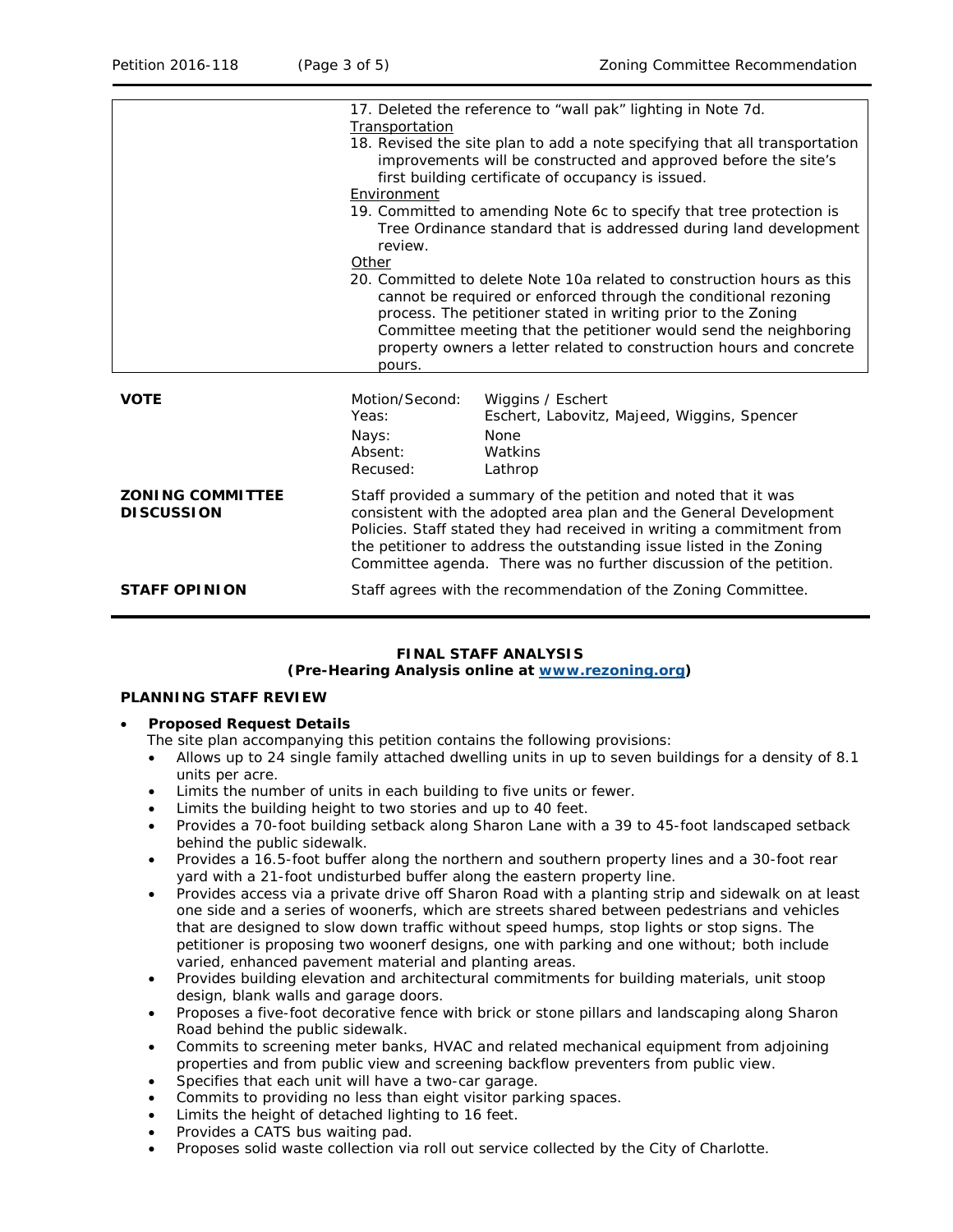|                                              | Transportation<br>Environment<br>review.<br>Other<br>pours.                                                                                                                                                                                                                                                                                                | 17. Deleted the reference to "wall pak" lighting in Note 7d.<br>18. Revised the site plan to add a note specifying that all transportation<br>improvements will be constructed and approved before the site's<br>first building certificate of occupancy is issued.<br>19. Committed to amending Note 6c to specify that tree protection is<br>Tree Ordinance standard that is addressed during land development<br>20. Committed to delete Note 10a related to construction hours as this<br>cannot be required or enforced through the conditional rezoning<br>process. The petitioner stated in writing prior to the Zoning<br>Committee meeting that the petitioner would send the neighboring<br>property owners a letter related to construction hours and concrete |  |
|----------------------------------------------|------------------------------------------------------------------------------------------------------------------------------------------------------------------------------------------------------------------------------------------------------------------------------------------------------------------------------------------------------------|---------------------------------------------------------------------------------------------------------------------------------------------------------------------------------------------------------------------------------------------------------------------------------------------------------------------------------------------------------------------------------------------------------------------------------------------------------------------------------------------------------------------------------------------------------------------------------------------------------------------------------------------------------------------------------------------------------------------------------------------------------------------------|--|
| <b>VOTE</b>                                  | Motion/Second:<br>Yeas:<br>Nays:<br>Absent:<br>Recused:                                                                                                                                                                                                                                                                                                    | Wiggins / Eschert<br>Eschert, Labovitz, Majeed, Wiggins, Spencer<br><b>None</b><br>Watkins<br>Lathrop                                                                                                                                                                                                                                                                                                                                                                                                                                                                                                                                                                                                                                                                     |  |
| <b>ZONING COMMITTEE</b><br><b>DISCUSSION</b> | Staff provided a summary of the petition and noted that it was<br>consistent with the adopted area plan and the General Development<br>Policies. Staff stated they had received in writing a commitment from<br>the petitioner to address the outstanding issue listed in the Zoning<br>Committee agenda. There was no further discussion of the petition. |                                                                                                                                                                                                                                                                                                                                                                                                                                                                                                                                                                                                                                                                                                                                                                           |  |
| <b>STAFF OPINION</b>                         | Staff agrees with the recommendation of the Zoning Committee.                                                                                                                                                                                                                                                                                              |                                                                                                                                                                                                                                                                                                                                                                                                                                                                                                                                                                                                                                                                                                                                                                           |  |

#### **FINAL STAFF ANALYSIS (Pre-Hearing Analysis online at [www.rezoning.org\)](http://www.rezoning.org/)**

#### **PLANNING STAFF REVIEW**

#### • **Proposed Request Details**

The site plan accompanying this petition contains the following provisions:

- Allows up to 24 single family attached dwelling units in up to seven buildings for a density of 8.1 units per acre.
- Limits the number of units in each building to five units or fewer.
- Limits the building height to two stories and up to 40 feet.
- Provides a 70-foot building setback along Sharon Lane with a 39 to 45-foot landscaped setback behind the public sidewalk.
- Provides a 16.5-foot buffer along the northern and southern property lines and a 30-foot rear yard with a 21-foot undisturbed buffer along the eastern property line.
- Provides access via a private drive off Sharon Road with a planting strip and sidewalk on at least one side and a series of woonerfs, which are streets shared between pedestrians and vehicles that are designed to slow down traffic without speed humps, stop lights or stop signs. The petitioner is proposing two woonerf designs, one with parking and one without; both include varied, enhanced pavement material and planting areas.
- Provides building elevation and architectural commitments for building materials, unit stoop design, blank walls and garage doors.
- Proposes a five-foot decorative fence with brick or stone pillars and landscaping along Sharon Road behind the public sidewalk.
- Commits to screening meter banks, HVAC and related mechanical equipment from adjoining properties and from public view and screening backflow preventers from public view.
- Specifies that each unit will have a two-car garage.
- Commits to providing no less than eight visitor parking spaces.
- Limits the height of detached lighting to 16 feet.
- Provides a CATS bus waiting pad.
- Proposes solid waste collection via roll out service collected by the City of Charlotte.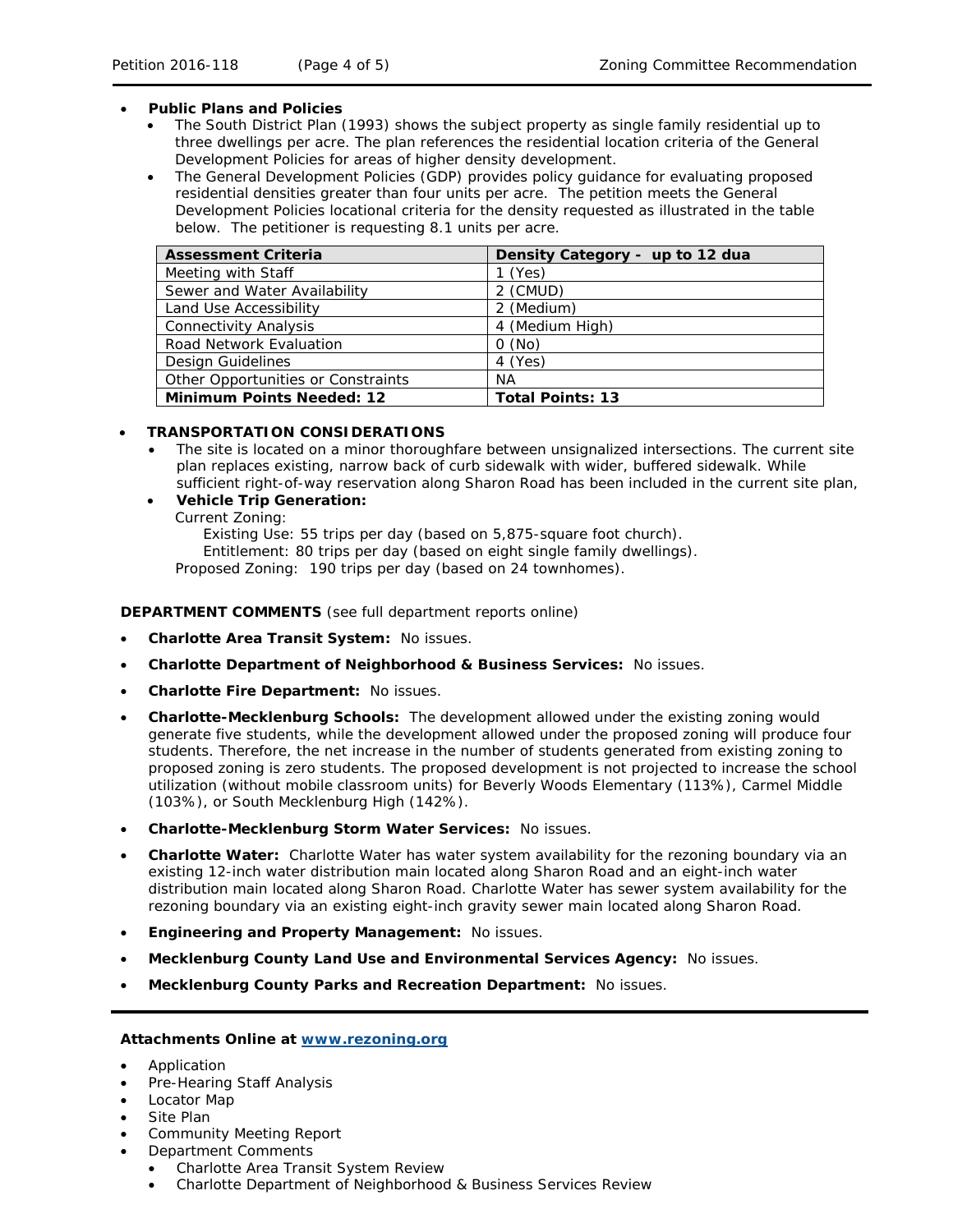#### • **Public Plans and Policies**

- The *South District Plan* (1993) shows the subject property as single family residential up to three dwellings per acre. The plan references the residential location criteria of the *General Development Policies* for areas of higher density development.
- The *General Development Policies* (GDP) provides policy guidance for evaluating proposed residential densities greater than four units per acre. The petition meets the *General Development Policies* locational criteria for the density requested as illustrated in the table below. The petitioner is requesting 8.1 units per acre.

| <b>Assessment Criteria</b>         | Density Category - up to 12 dua |
|------------------------------------|---------------------------------|
| Meeting with Staff                 | $1$ (Yes)                       |
| Sewer and Water Availability       | 2 (CMUD)                        |
| Land Use Accessibility             | 2 (Medium)                      |
| <b>Connectivity Analysis</b>       | 4 (Medium High)                 |
| Road Network Evaluation            | O(No)                           |
| Design Guidelines                  | 4 (Yes)                         |
| Other Opportunities or Constraints | ΝA                              |
| <b>Minimum Points Needed: 12</b>   | <b>Total Points: 13</b>         |

### • **TRANSPORTATION CONSIDERATIONS**

- The site is located on a minor thoroughfare between unsignalized intersections. The current site plan replaces existing, narrow back of curb sidewalk with wider, buffered sidewalk. While sufficient right-of-way reservation along Sharon Road has been included in the current site plan,
- **Vehicle Trip Generation:** Current Zoning:
	- Existing Use: 55 trips per day (based on 5,875-square foot church). Entitlement: 80 trips per day (based on eight single family dwellings). Proposed Zoning: 190 trips per day (based on 24 townhomes).

#### **DEPARTMENT COMMENTS** (see full department reports online)

- **Charlotte Area Transit System:** No issues.
- **Charlotte Department of Neighborhood & Business Services:** No issues.
- **Charlotte Fire Department:** No issues.
- **Charlotte-Mecklenburg Schools:** The development allowed under the existing zoning would generate five students, while the development allowed under the proposed zoning will produce four students. Therefore, the net increase in the number of students generated from existing zoning to proposed zoning is zero students. The proposed development is not projected to increase the school utilization (without mobile classroom units) for Beverly Woods Elementary (113%), Carmel Middle (103%), or South Mecklenburg High (142%).
- **Charlotte-Mecklenburg Storm Water Services:** No issues.
- **Charlotte Water:** Charlotte Water has water system availability for the rezoning boundary via an existing 12-inch water distribution main located along Sharon Road and an eight-inch water distribution main located along Sharon Road. Charlotte Water has sewer system availability for the rezoning boundary via an existing eight-inch gravity sewer main located along Sharon Road.
- **Engineering and Property Management:** No issues.
- **Mecklenburg County Land Use and Environmental Services Agency:** No issues.
- **Mecklenburg County Parks and Recreation Department:** No issues.

#### **Attachments Online at [www.rezoning.org](http://www.rezoning.org/)**

- Application
- Pre-Hearing Staff Analysis
- Locator Map
- Site Plan
- Community Meeting Report
- Department Comments
	- Charlotte Area Transit System Review
	- Charlotte Department of Neighborhood & Business Services Review